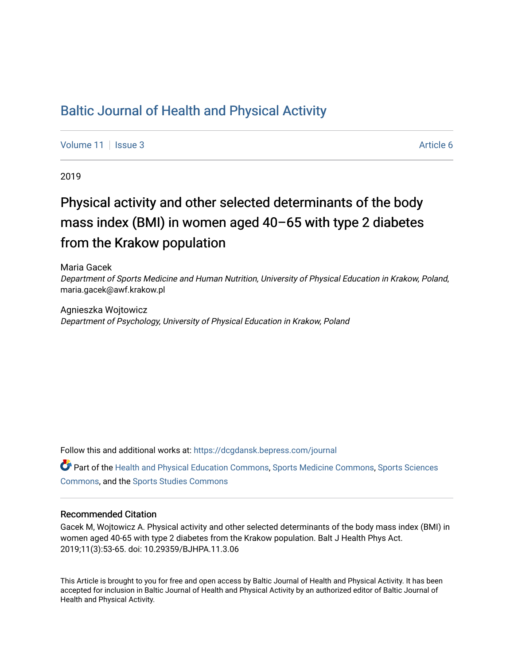## [Baltic Journal of Health and Physical Activity](https://dcgdansk.bepress.com/journal)

[Volume 11](https://dcgdansk.bepress.com/journal/vol11) | [Issue 3](https://dcgdansk.bepress.com/journal/vol11/iss3) Article 6

2019

# Physical activity and other selected determinants of the body mass index (BMI) in women aged 40–65 with type 2 diabetes from the Krakow population

Maria Gacek Department of Sports Medicine and Human Nutrition, University of Physical Education in Krakow, Poland, maria.gacek@awf.krakow.pl

Agnieszka Wojtowicz Department of Psychology, University of Physical Education in Krakow, Poland

Follow this and additional works at: [https://dcgdansk.bepress.com/journal](https://dcgdansk.bepress.com/journal?utm_source=dcgdansk.bepress.com%2Fjournal%2Fvol11%2Fiss3%2F6&utm_medium=PDF&utm_campaign=PDFCoverPages)

Part of the [Health and Physical Education Commons](http://network.bepress.com/hgg/discipline/1327?utm_source=dcgdansk.bepress.com%2Fjournal%2Fvol11%2Fiss3%2F6&utm_medium=PDF&utm_campaign=PDFCoverPages), [Sports Medicine Commons,](http://network.bepress.com/hgg/discipline/1331?utm_source=dcgdansk.bepress.com%2Fjournal%2Fvol11%2Fiss3%2F6&utm_medium=PDF&utm_campaign=PDFCoverPages) [Sports Sciences](http://network.bepress.com/hgg/discipline/759?utm_source=dcgdansk.bepress.com%2Fjournal%2Fvol11%2Fiss3%2F6&utm_medium=PDF&utm_campaign=PDFCoverPages) [Commons](http://network.bepress.com/hgg/discipline/759?utm_source=dcgdansk.bepress.com%2Fjournal%2Fvol11%2Fiss3%2F6&utm_medium=PDF&utm_campaign=PDFCoverPages), and the [Sports Studies Commons](http://network.bepress.com/hgg/discipline/1198?utm_source=dcgdansk.bepress.com%2Fjournal%2Fvol11%2Fiss3%2F6&utm_medium=PDF&utm_campaign=PDFCoverPages) 

#### Recommended Citation

Gacek M, Wojtowicz A. Physical activity and other selected determinants of the body mass index (BMI) in women aged 40-65 with type 2 diabetes from the Krakow population. Balt J Health Phys Act. 2019;11(3):53-65. doi: 10.29359/BJHPA.11.3.06

This Article is brought to you for free and open access by Baltic Journal of Health and Physical Activity. It has been accepted for inclusion in Baltic Journal of Health and Physical Activity by an authorized editor of Baltic Journal of Health and Physical Activity.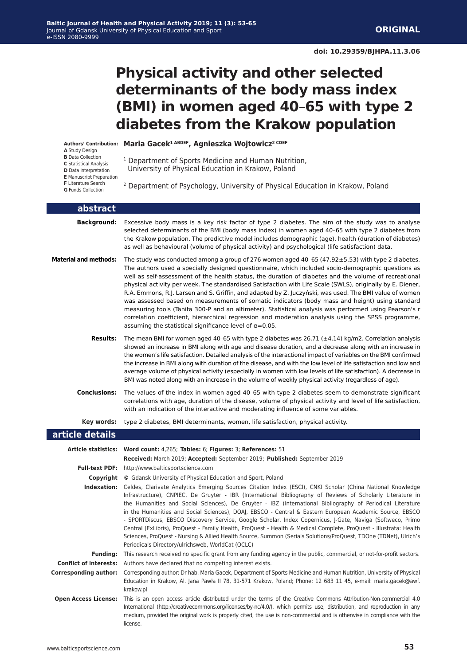# **Physical activity and other selected determinants of the body mass index (BMI) in women aged 40**–**65 with type 2 diabetes from the Krakow population**

- **A** Study Design
- **B** Data Collection
- **C** Statistical Analysis
- **D** Data Interpretation
- **E** Manuscript Preparation
- **F** Literature Search
- **G** Funds Collection

#### **Maria Gacek1 ABDEF, Agnieszka Wojtowicz2 CDEF Authors' Contribution:**

- <sup>1</sup> Department of Sports Medicine and Human Nutrition, University of Physical Education in Krakow, Poland
- 2 Department of Psychology, University of Physical Education in Krakow, Poland

| abstract                     |                                                                                                                                                                                                                                                                                                                                                                                                                                                                                                                                                                                                                                                                                                                                                                                                                                                                                                                                      |
|------------------------------|--------------------------------------------------------------------------------------------------------------------------------------------------------------------------------------------------------------------------------------------------------------------------------------------------------------------------------------------------------------------------------------------------------------------------------------------------------------------------------------------------------------------------------------------------------------------------------------------------------------------------------------------------------------------------------------------------------------------------------------------------------------------------------------------------------------------------------------------------------------------------------------------------------------------------------------|
| <b>Background:</b>           | Excessive body mass is a key risk factor of type 2 diabetes. The aim of the study was to analyse<br>selected determinants of the BMI (body mass index) in women aged 40-65 with type 2 diabetes from<br>the Krakow population. The predictive model includes demographic (age), health (duration of diabetes)<br>as well as behavioural (volume of physical activity) and psychological (life satisfaction) data.                                                                                                                                                                                                                                                                                                                                                                                                                                                                                                                    |
| <b>Material and methods:</b> | The study was conducted among a group of 276 women aged $40-65$ (47.92 $\pm$ 5.53) with type 2 diabetes.<br>The authors used a specially designed questionnaire, which included socio-demographic questions as<br>well as self-assessment of the health status, the duration of diabetes and the volume of recreational<br>physical activity per week. The standardised Satisfaction with Life Scale (SWLS), originally by E. Diener,<br>R.A. Emmons, R.J. Larsen and S. Griffin, and adapted by Z. Juczyński, was used. The BMI value of women<br>was assessed based on measurements of somatic indicators (body mass and height) using standard<br>measuring tools (Tanita 300-P and an altimeter). Statistical analysis was performed using Pearson's r<br>correlation coefficient, hierarchical regression and moderation analysis using the SPSS programme,<br>assuming the statistical significance level of $\alpha = 0.05$ . |
| Results:                     | The mean BMI for women aged 40–65 with type 2 diabetes was 26.71 ( $\pm$ 4.14) kg/m2. Correlation analysis<br>showed an increase in BMI along with age and disease duration, and a decrease along with an increase in<br>the women's life satisfaction. Detailed analysis of the interactional impact of variables on the BMI confirmed<br>the increase in BMI along with duration of the disease, and with the low level of life satisfaction and low and<br>average volume of physical activity (especially in women with low levels of life satisfaction). A decrease in<br>BMI was noted along with an increase in the volume of weekly physical activity (regardless of age).                                                                                                                                                                                                                                                   |
| <b>Conclusions:</b>          | The values of the index in women aged 40-65 with type 2 diabetes seem to demonstrate significant<br>correlations with age, duration of the disease, volume of physical activity and level of life satisfaction,<br>with an indication of the interactive and moderating influence of some variables.                                                                                                                                                                                                                                                                                                                                                                                                                                                                                                                                                                                                                                 |
| Key words:                   | type 2 diabetes, BMI determinants, women, life satisfaction, physical activity.                                                                                                                                                                                                                                                                                                                                                                                                                                                                                                                                                                                                                                                                                                                                                                                                                                                      |
| article details              |                                                                                                                                                                                                                                                                                                                                                                                                                                                                                                                                                                                                                                                                                                                                                                                                                                                                                                                                      |
|                              | Article statistics: Word count: 4,265; Tables: 6; Figures: 3; References: 51                                                                                                                                                                                                                                                                                                                                                                                                                                                                                                                                                                                                                                                                                                                                                                                                                                                         |
|                              | Received: March 2019; Accepted: September 2019; Published: September 2019                                                                                                                                                                                                                                                                                                                                                                                                                                                                                                                                                                                                                                                                                                                                                                                                                                                            |
|                              | Full-text PDF: http://www.balticsportscience.com                                                                                                                                                                                                                                                                                                                                                                                                                                                                                                                                                                                                                                                                                                                                                                                                                                                                                     |
|                              | <b>Copyright</b> © Gdansk University of Physical Education and Sport, Poland                                                                                                                                                                                                                                                                                                                                                                                                                                                                                                                                                                                                                                                                                                                                                                                                                                                         |
|                              | Indexation: Celdes, Clarivate Analytics Emerging Sources Citation Index (ESCI), CNKI Scholar (China National Knowledge<br>Infrastructure), CNPIEC, De Gruyter - IBR (International Bibliography of Reviews of Scholarly Literature in<br>the Humanities and Social Sciences), De Gruyter - IBZ (International Bibliography of Periodical Literature<br>in the Humanities and Social Sciences), DOAJ, EBSCO - Central & Eastern European Academic Source, EBSCO<br>- SPORTDiscus, EBSCO Discovery Service, Google Scholar, Index Copernicus, J-Gate, Naviga (Softweco, Primo<br>Central (ExLibris), ProQuest - Family Health, ProQuest - Health & Medical Complete, ProQuest - Illustrata: Health<br>Sciences, ProQuest - Nursing & Allied Health Source, Summon (Serials Solutions/ProQuest, TDOne (TDNet), Ulrich's<br>Periodicals Directory/ulrichsweb, WorldCat (OCLC)                                                            |
|                              | Funding: This research received no specific grant from any funding agency in the public, commercial, or not-for-profit sectors.                                                                                                                                                                                                                                                                                                                                                                                                                                                                                                                                                                                                                                                                                                                                                                                                      |
|                              | <b>Conflict of interests:</b> Authors have declared that no competing interest exists.                                                                                                                                                                                                                                                                                                                                                                                                                                                                                                                                                                                                                                                                                                                                                                                                                                               |
| <b>Corresponding author:</b> | Corresponding author: Dr hab. Maria Gacek, Department of Sports Medicine and Human Nutrition, University of Physical<br>Education in Krakow, Al. Jana Pawła II 78, 31-571 Krakow, Poland; Phone: 12 683 11 45, e-mail: maria.gacek@awf.<br>krakow.pl                                                                                                                                                                                                                                                                                                                                                                                                                                                                                                                                                                                                                                                                                 |
|                              | Open Access License: This is an open access article distributed under the terms of the Creative Commons Attribution-Non-commercial 4.0<br>International (http://creativecommons.org/licenses/by-nc/4.0/), which permits use, distribution, and reproduction in any<br>medium, provided the original work is properly cited, the use is non-commercial and is otherwise in compliance with the<br>license.                                                                                                                                                                                                                                                                                                                                                                                                                                                                                                                            |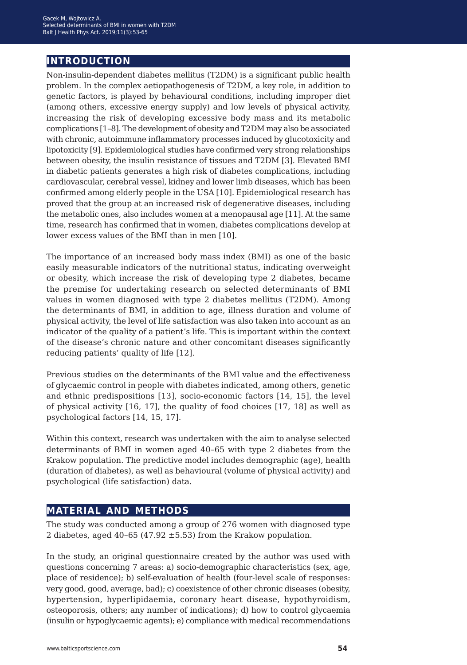## **introduction**

Non-insulin-dependent diabetes mellitus (T2DM) is a significant public health problem. In the complex aetiopathogenesis of T2DM, a key role, in addition to genetic factors, is played by behavioural conditions, including improper diet (among others, excessive energy supply) and low levels of physical activity, increasing the risk of developing excessive body mass and its metabolic complications [1–8]. The development of obesity and T2DM may also be associated with chronic, autoimmune inflammatory processes induced by glucotoxicity and lipotoxicity [9]. Epidemiological studies have confirmed very strong relationships between obesity, the insulin resistance of tissues and T2DM [3]. Elevated BMI in diabetic patients generates a high risk of diabetes complications, including cardiovascular, cerebral vessel, kidney and lower limb diseases, which has been confirmed among elderly people in the USA [10]. Epidemiological research has proved that the group at an increased risk of degenerative diseases, including the metabolic ones, also includes women at a menopausal age [11]. At the same time, research has confirmed that in women, diabetes complications develop at lower excess values of the BMI than in men [10].

The importance of an increased body mass index (BMI) as one of the basic easily measurable indicators of the nutritional status, indicating overweight or obesity, which increase the risk of developing type 2 diabetes, became the premise for undertaking research on selected determinants of BMI values in women diagnosed with type 2 diabetes mellitus (T2DM). Among the determinants of BMI, in addition to age, illness duration and volume of physical activity, the level of life satisfaction was also taken into account as an indicator of the quality of a patient's life. This is important within the context of the disease's chronic nature and other concomitant diseases significantly reducing patients' quality of life [12].

Previous studies on the determinants of the BMI value and the effectiveness of glycaemic control in people with diabetes indicated, among others, genetic and ethnic predispositions [13], socio-economic factors [14, 15], the level of physical activity [16, 17], the quality of food choices [17, 18] as well as psychological factors [14, 15, 17].

Within this context, research was undertaken with the aim to analyse selected determinants of BMI in women aged 40–65 with type 2 diabetes from the Krakow population. The predictive model includes demographic (age), health (duration of diabetes), as well as behavioural (volume of physical activity) and psychological (life satisfaction) data.

## **material and methods**

The study was conducted among a group of 276 women with diagnosed type 2 diabetes, aged 40-65 (47.92  $\pm$ 5.53) from the Krakow population.

In the study, an original questionnaire created by the author was used with questions concerning 7 areas: a) socio-demographic characteristics (sex, age, place of residence); b) self-evaluation of health (four-level scale of responses: very good, good, average, bad); c) coexistence of other chronic diseases (obesity, hypertension, hyperlipidaemia, coronary heart disease, hypothyroidism, osteoporosis, others; any number of indications); d) how to control glycaemia (insulin or hypoglycaemic agents); e) compliance with medical recommendations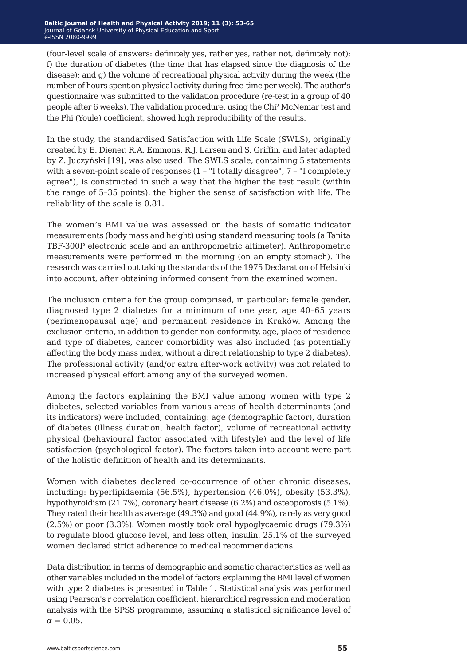(four-level scale of answers: definitely yes, rather yes, rather not, definitely not); f) the duration of diabetes (the time that has elapsed since the diagnosis of the disease); and g) the volume of recreational physical activity during the week (the number of hours spent on physical activity during free-time per week). The author's questionnaire was submitted to the validation procedure (re-test in a group of 40 people after 6 weeks). The validation procedure, using the Chi<sup>2</sup> McNemar test and the Phi (Youle) coefficient, showed high reproducibility of the results.

In the study, the standardised Satisfaction with Life Scale (SWLS), originally created by E. Diener, R.A. Emmons, R.J. Larsen and S. Griffin, and later adapted by Z. Juczyński [19], was also used. The SWLS scale, containing 5 statements with a seven-point scale of responses (1 – "I totally disagree", 7 – "I completely agree"), is constructed in such a way that the higher the test result (within the range of 5–35 points), the higher the sense of satisfaction with life. The reliability of the scale is 0.81.

The women's BMI value was assessed on the basis of somatic indicator measurements (body mass and height) using standard measuring tools (a Tanita TBF-300P electronic scale and an anthropometric altimeter). Anthropometric measurements were performed in the morning (on an empty stomach). The research was carried out taking the standards of the 1975 Declaration of Helsinki into account, after obtaining informed consent from the examined women.

The inclusion criteria for the group comprised, in particular: female gender, diagnosed type 2 diabetes for a minimum of one year, age 40–65 years (perimenopausal age) and permanent residence in Kraków. Among the exclusion criteria, in addition to gender non-conformity, age, place of residence and type of diabetes, cancer comorbidity was also included (as potentially affecting the body mass index, without a direct relationship to type 2 diabetes). The professional activity (and/or extra after-work activity) was not related to increased physical effort among any of the surveyed women.

Among the factors explaining the BMI value among women with type 2 diabetes, selected variables from various areas of health determinants (and its indicators) were included, containing: age (demographic factor), duration of diabetes (illness duration, health factor), volume of recreational activity physical (behavioural factor associated with lifestyle) and the level of life satisfaction (psychological factor). The factors taken into account were part of the holistic definition of health and its determinants.

Women with diabetes declared co-occurrence of other chronic diseases, including: hyperlipidaemia (56.5%), hypertension (46.0%), obesity (53.3%), hypothyroidism (21.7%), coronary heart disease (6.2%) and osteoporosis (5.1%). They rated their health as average (49.3%) and good (44.9%), rarely as very good (2.5%) or poor (3.3%). Women mostly took oral hypoglycaemic drugs (79.3%) to regulate blood glucose level, and less often, insulin. 25.1% of the surveyed women declared strict adherence to medical recommendations.

Data distribution in terms of demographic and somatic characteristics as well as other variables included in the model of factors explaining the BMI level of women with type 2 diabetes is presented in Table 1. Statistical analysis was performed using Pearson's r correlation coefficient, hierarchical regression and moderation analysis with the SPSS programme, assuming a statistical significance level of  $\alpha = 0.05$ .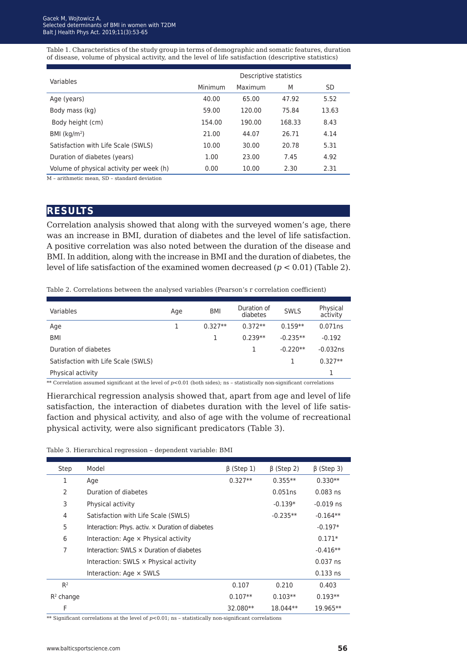Table 1. Characteristics of the study group in terms of demographic and somatic features, duration of disease, volume of physical activity, and the level of life satisfaction (descriptive statistics)

| Variables                                | Descriptive statistics |         |        |       |  |  |  |
|------------------------------------------|------------------------|---------|--------|-------|--|--|--|
|                                          | Minimum                | Maximum | M      | SD    |  |  |  |
| Age (years)                              | 40.00                  | 65.00   | 47.92  | 5.52  |  |  |  |
| Body mass (kg)                           | 59.00                  | 120.00  | 75.84  | 13.63 |  |  |  |
| Body height (cm)                         | 154.00                 | 190.00  | 168.33 | 8.43  |  |  |  |
| BMI $(kq/m2)$                            | 21.00                  | 44.07   | 26.71  | 4.14  |  |  |  |
| Satisfaction with Life Scale (SWLS)      | 10.00                  | 30.00   | 20.78  | 5.31  |  |  |  |
| Duration of diabetes (years)             | 1.00                   | 23.00   | 7.45   | 4.92  |  |  |  |
| Volume of physical activity per week (h) | 0.00                   | 10.00   | 2.30   | 2.31  |  |  |  |

M – arithmetic mean, SD – standard deviation

#### **results**

Correlation analysis showed that along with the surveyed women's age, there was an increase in BMI, duration of diabetes and the level of life satisfaction. A positive correlation was also noted between the duration of the disease and BMI. In addition, along with the increase in BMI and the duration of diabetes, the level of life satisfaction of the examined women decreased (*p* < 0.01) (Table 2).

Table 2. Correlations between the analysed variables (Pearson's r correlation coefficient)

| Variables                           | Age | <b>BMI</b> | Duration of<br>diabetes | <b>SWLS</b> | Physical<br>activity |
|-------------------------------------|-----|------------|-------------------------|-------------|----------------------|
| Age                                 |     | $0.327**$  | $0.372**$               | $0.159**$   | 0.071ns              |
| BMI                                 |     |            | $0.239**$               | $-0.235**$  | $-0.192$             |
| Duration of diabetes                |     |            |                         | $-0.220**$  | $-0.032ns$           |
| Satisfaction with Life Scale (SWLS) |     |            |                         |             | $0.327**$            |
| Physical activity                   |     |            |                         |             |                      |
|                                     |     |            |                         |             |                      |

\*\* Correlation assumed significant at the level of  $p<0.01$  (both sides); ns - statistically non-significant correlations

Hierarchical regression analysis showed that, apart from age and level of life satisfaction, the interaction of diabetes duration with the level of life satisfaction and physical activity, and also of age with the volume of recreational physical activity, were also significant predicators (Table 3).

Table 3. Hierarchical regression – dependent variable: BMI

| Step         | Model                                                   | $\beta$ (Step 1) | $\beta$ (Step 2) | $\beta$ (Step 3) |
|--------------|---------------------------------------------------------|------------------|------------------|------------------|
| 1            | Age                                                     | $0.327**$        | $0.355***$       | $0.330**$        |
| 2            | Duration of diabetes                                    |                  | 0.051ns          | $0.083$ ns       |
| 3            | Physical activity                                       |                  | $-0.139*$        | $-0.019$ ns      |
| 4            | Satisfaction with Life Scale (SWLS)                     |                  | $-0.235**$       | $-0.164**$       |
| 5            | Interaction: Phys. activ. $\times$ Duration of diabetes |                  |                  | $-0.197*$        |
| 6            | Interaction: Age $\times$ Physical activity             |                  |                  | $0.171*$         |
| 7            | Interaction: SWLS x Duration of diabetes                |                  |                  | $-0.416**$       |
|              | Interaction: SWLS x Physical activity                   |                  |                  | $0.037$ ns       |
|              | Interaction: Age × SWLS                                 |                  |                  | $0.133$ ns       |
| $R^2$        |                                                         | 0.107            | 0.210            | 0.403            |
| $R^2$ change |                                                         | $0.107**$        | $0.103**$        | $0.193**$        |
| F            |                                                         | 32.080**         | 18.044**         | 19.965**         |

\*\* Significant correlations at the level of *p*<0.01; ns – statistically non-significant correlations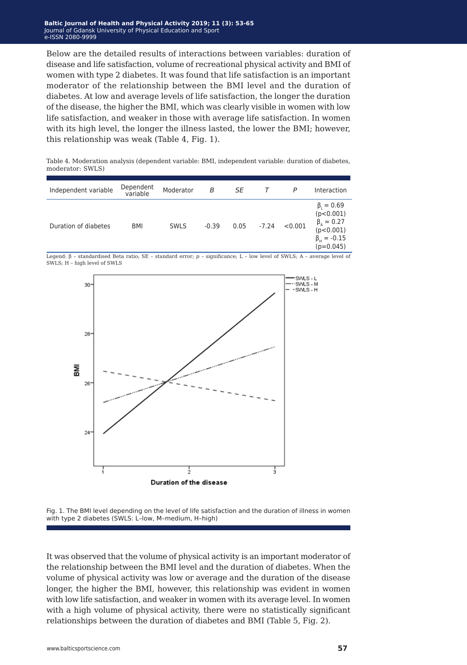Below are the detailed results of interactions between variables: duration of disease and life satisfaction, volume of recreational physical activity and BMI of women with type 2 diabetes. It was found that life satisfaction is an important moderator of the relationship between the BMI level and the duration of diabetes. At low and average levels of life satisfaction, the longer the duration of the disease, the higher the BMI, which was clearly visible in women with low life satisfaction, and weaker in those with average life satisfaction. In women with its high level, the longer the illness lasted, the lower the BMI; however, this relationship was weak (Table 4, Fig. 1).

Table 4. Moderation analysis (dependent variable: BMI, independent variable: duration of diabetes, moderator: SWLS)

| Independent variable | Dependent<br>variable | Moderator   | B       | SE   |         | P       | Interaction                                                                                              |
|----------------------|-----------------------|-------------|---------|------|---------|---------|----------------------------------------------------------------------------------------------------------|
| Duration of diabetes | <b>BMI</b>            | <b>SWLS</b> | $-0.39$ | 0.05 | $-7.24$ | < 0.001 | $\beta_{1} = 0.69$<br>(p<0.001)<br>$\beta_{A} = 0.27$<br>(p<0.001)<br>$\beta_{H} = -0.15$<br>$(p=0.045)$ |

Legend: β – standardised Beta ratio; SE – standard error; *p* – significance; L – low level of SWLS; A – average level of SWLS; H – high level of SWLS



Fig. 1. The BMI level depending on the level of life satisfaction and the duration of illness in women with type 2 diabetes (SWLS: L–low, M–medium, H–high)

It was observed that the volume of physical activity is an important moderator of the relationship between the BMI level and the duration of diabetes. When the volume of physical activity was low or average and the duration of the disease longer, the higher the BMI, however, this relationship was evident in women with low life satisfaction, and weaker in women with its average level. In women with a high volume of physical activity, there were no statistically significant relationships between the duration of diabetes and BMI (Table 5, Fig. 2).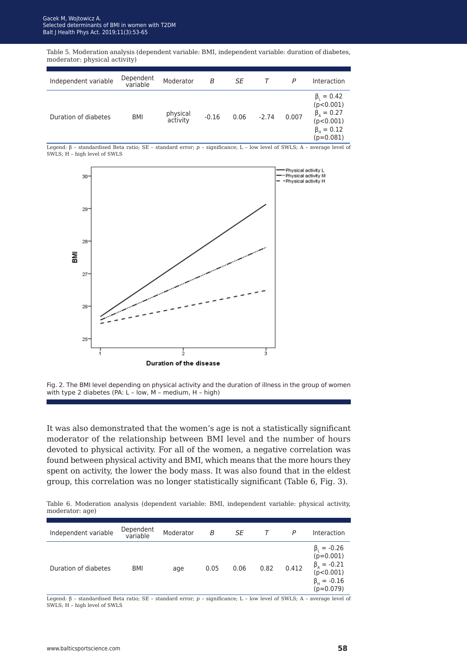Table 5. Moderation analysis (dependent variable: BMI, independent variable: duration of diabetes, moderator: physical activity)

| Independent variable | Dependent<br>variable | Moderator            | B       | SE   |         | P     | Interaction                                                                                                    |
|----------------------|-----------------------|----------------------|---------|------|---------|-------|----------------------------------------------------------------------------------------------------------------|
| Duration of diabetes | BMI                   | physical<br>activity | $-0.16$ | 0.06 | $-2.74$ | 0.007 | $\beta_{1} = 0.42$<br>(p<0.001)<br>$\beta_{A} = 0.27$<br>(p<0.001)<br>$\beta_{\text{H}} = 0.12$<br>$(p=0.081)$ |

Legend: β – standardised Beta ratio; SE – standard error; *p* – significance; L – low level of SWLS; A – average level of SWLS; H – high level of SWLS



Fig. 2. The BMI level depending on physical activity and the duration of illness in the group of women with type 2 diabetes (PA: L – low, M – medium, H – high)

It was also demonstrated that the women's age is not a statistically significant moderator of the relationship between BMI level and the number of hours devoted to physical activity. For all of the women, a negative correlation was found between physical activity and BMI, which means that the more hours they spent on activity, the lower the body mass. It was also found that in the eldest group, this correlation was no longer statistically significant (Table 6, Fig. 3).

Table 6. Moderation analysis (dependent variable: BMI, independent variable: physical activity, moderator: age)

| Independent variable | Dependent<br>variable | Moderator | В    | SE   |      | P     | Interaction                                                                                                |
|----------------------|-----------------------|-----------|------|------|------|-------|------------------------------------------------------------------------------------------------------------|
| Duration of diabetes | BMI                   | age       | 0.05 | 0.06 | 0.82 | 0.412 | $\beta_1 = -0.26$<br>$(p=0.001)$<br>$\beta_{A} = -0.21$<br>(p<0.001)<br>$\beta_{H} = -0.16$<br>$(p=0.079)$ |

Legend: β – standardised Beta ratio; SE – standard error; *p* – significance; L – low level of SWLS; A – average level of SWLS; H – high level of SWLS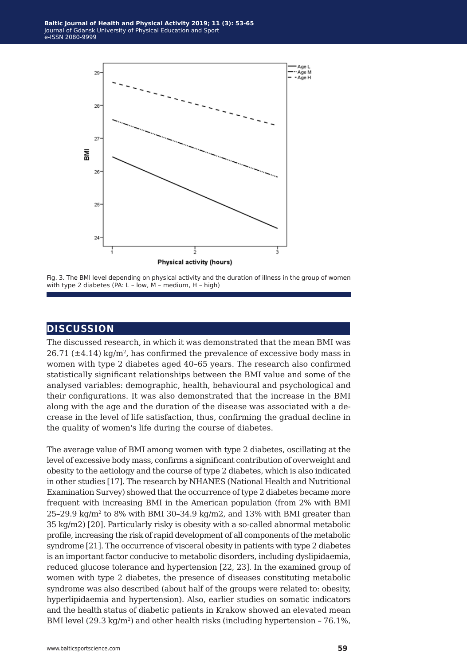

Fig. 3. The BMI level depending on physical activity and the duration of illness in the group of women with type 2 diabetes (PA: L – low, M – medium, H – high)

#### **discussion**

The discussed research, in which it was demonstrated that the mean BMI was 26.71 ( $\pm$ 4.14) kg/m<sup>2</sup>, has confirmed the prevalence of excessive body mass in women with type 2 diabetes aged 40–65 years. The research also confirmed statistically significant relationships between the BMI value and some of the analysed variables: demographic, health, behavioural and psychological and their configurations. It was also demonstrated that the increase in the BMI along with the age and the duration of the disease was associated with a decrease in the level of life satisfaction, thus, confirming the gradual decline in the quality of women's life during the course of diabetes.

The average value of BMI among women with type 2 diabetes, oscillating at the level of excessive body mass, confirms a significant contribution of overweight and obesity to the aetiology and the course of type 2 diabetes, which is also indicated in other studies [17]. The research by NHANES (National Health and Nutritional Examination Survey) showed that the occurrence of type 2 diabetes became more frequent with increasing BMI in the American population (from 2% with BMI 25–29.9 kg/m<sup>2</sup> to 8% with BMI 30–34.9 kg/m2, and 13% with BMI greater than 35 kg/m2) [20]. Particularly risky is obesity with a so-called abnormal metabolic profile, increasing the risk of rapid development of all components of the metabolic syndrome [21]. The occurrence of visceral obesity in patients with type 2 diabetes is an important factor conducive to metabolic disorders, including dyslipidaemia, reduced glucose tolerance and hypertension [22, 23]. In the examined group of women with type 2 diabetes, the presence of diseases constituting metabolic syndrome was also described (about half of the groups were related to: obesity, hyperlipidaemia and hypertension). Also, earlier studies on somatic indicators and the health status of diabetic patients in Krakow showed an elevated mean BMI level  $(29.3 \text{ kg/m}^2)$  and other health risks (including hypertension – 76.1%,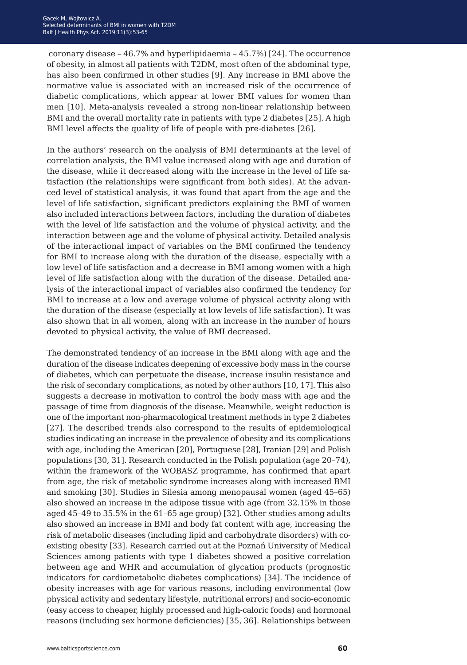coronary disease – 46.7% and hyperlipidaemia – 45.7%) [24]. The occurrence of obesity, in almost all patients with T2DM, most often of the abdominal type, has also been confirmed in other studies [9]. Any increase in BMI above the normative value is associated with an increased risk of the occurrence of diabetic complications, which appear at lower BMI values for women than men [10]. Meta-analysis revealed a strong non-linear relationship between BMI and the overall mortality rate in patients with type 2 diabetes [25]. A high BMI level affects the quality of life of people with pre-diabetes [26].

In the authors' research on the analysis of BMI determinants at the level of correlation analysis, the BMI value increased along with age and duration of the disease, while it decreased along with the increase in the level of life satisfaction (the relationships were significant from both sides). At the advanced level of statistical analysis, it was found that apart from the age and the level of life satisfaction, significant predictors explaining the BMI of women also included interactions between factors, including the duration of diabetes with the level of life satisfaction and the volume of physical activity, and the interaction between age and the volume of physical activity. Detailed analysis of the interactional impact of variables on the BMI confirmed the tendency for BMI to increase along with the duration of the disease, especially with a low level of life satisfaction and a decrease in BMI among women with a high level of life satisfaction along with the duration of the disease. Detailed analysis of the interactional impact of variables also confirmed the tendency for BMI to increase at a low and average volume of physical activity along with the duration of the disease (especially at low levels of life satisfaction). It was also shown that in all women, along with an increase in the number of hours devoted to physical activity, the value of BMI decreased.

The demonstrated tendency of an increase in the BMI along with age and the duration of the disease indicates deepening of excessive body mass in the course of diabetes, which can perpetuate the disease, increase insulin resistance and the risk of secondary complications, as noted by other authors [10, 17]. This also suggests a decrease in motivation to control the body mass with age and the passage of time from diagnosis of the disease. Meanwhile, weight reduction is one of the important non-pharmacological treatment methods in type 2 diabetes [27]. The described trends also correspond to the results of epidemiological studies indicating an increase in the prevalence of obesity and its complications with age, including the American [20], Portuguese [28], Iranian [29] and Polish populations [30, 31]. Research conducted in the Polish population (age 20–74), within the framework of the WOBASZ programme, has confirmed that apart from age, the risk of metabolic syndrome increases along with increased BMI and smoking [30]. Studies in Silesia among menopausal women (aged 45–65) also showed an increase in the adipose tissue with age (from 32.15% in those aged 45–49 to 35.5% in the 61–65 age group) [32]. Other studies among adults also showed an increase in BMI and body fat content with age, increasing the risk of metabolic diseases (including lipid and carbohydrate disorders) with coexisting obesity [33]. Research carried out at the Poznań University of Medical Sciences among patients with type 1 diabetes showed a positive correlation between age and WHR and accumulation of glycation products (prognostic indicators for cardiometabolic diabetes complications) [34]. The incidence of obesity increases with age for various reasons, including environmental (low physical activity and sedentary lifestyle, nutritional errors) and socio-economic (easy access to cheaper, highly processed and high-caloric foods) and hormonal reasons (including sex hormone deficiencies) [35, 36]. Relationships between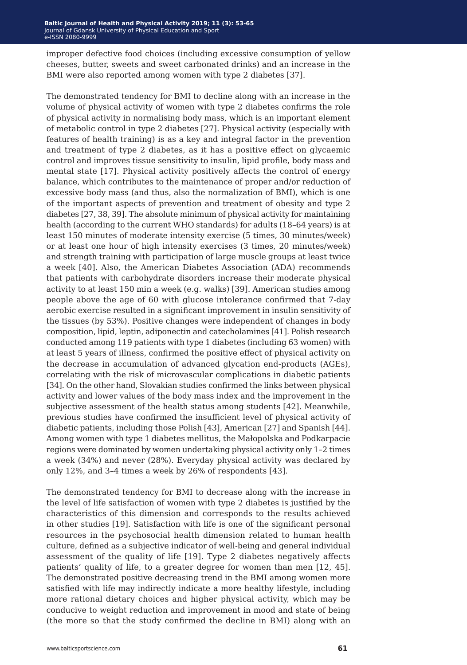improper defective food choices (including excessive consumption of yellow cheeses, butter, sweets and sweet carbonated drinks) and an increase in the BMI were also reported among women with type 2 diabetes [37].

The demonstrated tendency for BMI to decline along with an increase in the volume of physical activity of women with type 2 diabetes confirms the role of physical activity in normalising body mass, which is an important element of metabolic control in type 2 diabetes [27]. Physical activity (especially with features of health training) is as a key and integral factor in the prevention and treatment of type 2 diabetes, as it has a positive effect on glycaemic control and improves tissue sensitivity to insulin, lipid profile, body mass and mental state [17]. Physical activity positively affects the control of energy balance, which contributes to the maintenance of proper and/or reduction of excessive body mass (and thus, also the normalization of BMI), which is one of the important aspects of prevention and treatment of obesity and type 2 diabetes [27, 38, 39]. The absolute minimum of physical activity for maintaining health (according to the current WHO standards) for adults (18–64 years) is at least 150 minutes of moderate intensity exercise (5 times, 30 minutes/week) or at least one hour of high intensity exercises (3 times, 20 minutes/week) and strength training with participation of large muscle groups at least twice a week [40]. Also, the American Diabetes Association (ADA) recommends that patients with carbohydrate disorders increase their moderate physical activity to at least 150 min a week (e.g. walks) [39]. American studies among people above the age of 60 with glucose intolerance confirmed that 7-day aerobic exercise resulted in a significant improvement in insulin sensitivity of the tissues (by 53%). Positive changes were independent of changes in body composition, lipid, leptin, adiponectin and catecholamines [41]. Polish research conducted among 119 patients with type 1 diabetes (including 63 women) with at least 5 years of illness, confirmed the positive effect of physical activity on the decrease in accumulation of advanced glycation end-products (AGEs), correlating with the risk of microvascular complications in diabetic patients [34]. On the other hand, Slovakian studies confirmed the links between physical activity and lower values of the body mass index and the improvement in the subjective assessment of the health status among students [42]. Meanwhile, previous studies have confirmed the insufficient level of physical activity of diabetic patients, including those Polish [43], American [27] and Spanish [44]. Among women with type 1 diabetes mellitus, the Małopolska and Podkarpacie regions were dominated by women undertaking physical activity only 1–2 times a week (34%) and never (28%). Everyday physical activity was declared by only 12%, and 3–4 times a week by 26% of respondents [43].

The demonstrated tendency for BMI to decrease along with the increase in the level of life satisfaction of women with type 2 diabetes is justified by the characteristics of this dimension and corresponds to the results achieved in other studies [19]. Satisfaction with life is one of the significant personal resources in the psychosocial health dimension related to human health culture, defined as a subjective indicator of well-being and general individual assessment of the quality of life [19]. Type 2 diabetes negatively affects patients' quality of life, to a greater degree for women than men [12, 45]. The demonstrated positive decreasing trend in the BMI among women more satisfied with life may indirectly indicate a more healthy lifestyle, including more rational dietary choices and higher physical activity, which may be conducive to weight reduction and improvement in mood and state of being (the more so that the study confirmed the decline in BMI) along with an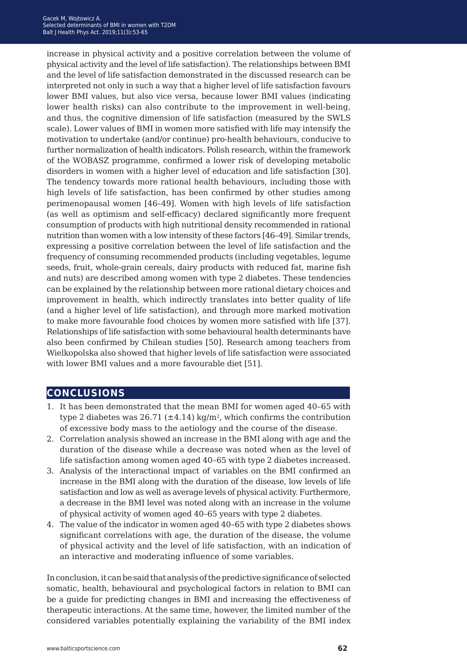increase in physical activity and a positive correlation between the volume of physical activity and the level of life satisfaction). The relationships between BMI and the level of life satisfaction demonstrated in the discussed research can be interpreted not only in such a way that a higher level of life satisfaction favours lower BMI values, but also vice versa, because lower BMI values (indicating lower health risks) can also contribute to the improvement in well-being, and thus, the cognitive dimension of life satisfaction (measured by the SWLS scale). Lower values of BMI in women more satisfied with life may intensify the motivation to undertake (and/or continue) pro-health behaviours, conducive to further normalization of health indicators. Polish research, within the framework of the WOBASZ programme, confirmed a lower risk of developing metabolic disorders in women with a higher level of education and life satisfaction [30]. The tendency towards more rational health behaviours, including those with high levels of life satisfaction, has been confirmed by other studies among perimenopausal women [46–49]. Women with high levels of life satisfaction (as well as optimism and self-efficacy) declared significantly more frequent consumption of products with high nutritional density recommended in rational nutrition than women with a low intensity of these factors [46–49]. Similar trends, expressing a positive correlation between the level of life satisfaction and the frequency of consuming recommended products (including vegetables, legume seeds, fruit, whole-grain cereals, dairy products with reduced fat, marine fish and nuts) are described among women with type 2 diabetes. These tendencies can be explained by the relationship between more rational dietary choices and improvement in health, which indirectly translates into better quality of life (and a higher level of life satisfaction), and through more marked motivation to make more favourable food choices by women more satisfied with life [37]. Relationships of life satisfaction with some behavioural health determinants have also been confirmed by Chilean studies [50]. Research among teachers from Wielkopolska also showed that higher levels of life satisfaction were associated with lower BMI values and a more favourable diet [51].

## **conclusions**

- 1. It has been demonstrated that the mean BMI for women aged 40–65 with type 2 diabetes was  $26.71 (\pm 4.14)$  kg/m<sup>2</sup>, which confirms the contribution of excessive body mass to the aetiology and the course of the disease.
- 2. Correlation analysis showed an increase in the BMI along with age and the duration of the disease while a decrease was noted when as the level of life satisfaction among women aged 40–65 with type 2 diabetes increased.
- 3. Analysis of the interactional impact of variables on the BMI confirmed an increase in the BMI along with the duration of the disease, low levels of life satisfaction and low as well as average levels of physical activity. Furthermore, a decrease in the BMI level was noted along with an increase in the volume of physical activity of women aged 40–65 years with type 2 diabetes.
- 4. The value of the indicator in women aged 40–65 with type 2 diabetes shows significant correlations with age, the duration of the disease, the volume of physical activity and the level of life satisfaction, with an indication of an interactive and moderating influence of some variables.

In conclusion, it can be said that analysis of the predictive significance of selected somatic, health, behavioural and psychological factors in relation to BMI can be a guide for predicting changes in BMI and increasing the effectiveness of therapeutic interactions. At the same time, however, the limited number of the considered variables potentially explaining the variability of the BMI index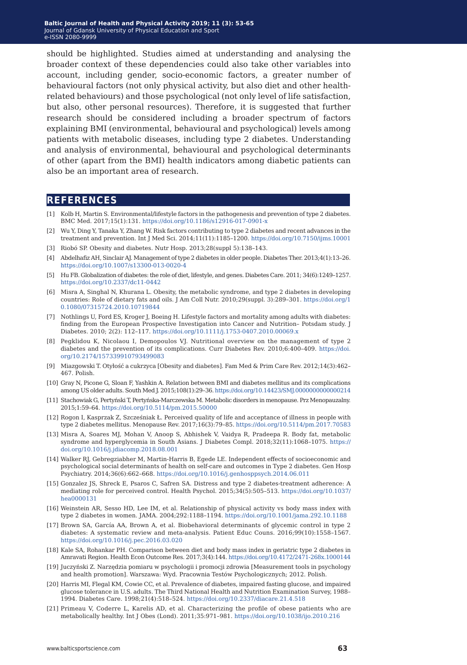should be highlighted. Studies aimed at understanding and analysing the broader context of these dependencies could also take other variables into account, including gender, socio-economic factors, a greater number of behavioural factors (not only physical activity, but also diet and other healthrelated behaviours) and those psychological (not only level of life satisfaction, but also, other personal resources). Therefore, it is suggested that further research should be considered including a broader spectrum of factors explaining BMI (environmental, behavioural and psychological) levels among patients with metabolic diseases, including type 2 diabetes. Understanding and analysis of environmental, behavioural and psychological determinants of other (apart from the BMI) health indicators among diabetic patients can also be an important area of research.

#### **references**

- [1] Kolb H, Martin S. Environmental/lifestyle factors in the pathogenesis and prevention of type 2 diabetes. BMC Med. 2017;15(1):131. <https://doi.org/10.1186/s12916-017-0901-x>
- [2] Wu Y, Ding Y, Tanaka Y, Zhang W. Risk factors contributing to type 2 diabetes and recent advances in the treatment and prevention. Int J Med Sci. 2014;11(11):1185–1200.<https://doi.org/10.7150/ijms.10001>
- [3] Riobó SP. Obesity and diabetes. Nutr Hosp. 2013;28(suppl 5):138–143.
- [4] Abdelhafiz AH, Sinclair AJ. Management of type 2 diabetes in older people. Diabetes Ther. 2013;4(1):13–26. <https://doi.org/10.1007/s13300-013-0020-4>
- [5] Hu FB. Globalization of diabetes: the role of diet, lifestyle, and genes. Diabetes Care. 2011; 34(6):1249–1257. <https://doi.org/10.2337/dc11-0442>
- [6] Misra A, Singhal N, Khurana L. Obesity, the metabolic syndrome, and type 2 diabetes in developing countries: Role of dietary fats and oils. J Am Coll Nutr. 2010;29(suppl. 3):289–301. [https://doi.org/1](https://doi.org/10.1080/07315724.2010.10719844) [0.1080/07315724.2010.10719844](https://doi.org/10.1080/07315724.2010.10719844)
- [7] Nothlings U, Ford ES, Kroger J, Boeing H. Lifestyle factors and mortality among adults with diabetes: finding from the European Prospective Investigation into Cancer and Nutrition– Potsdam study. J Diabetes. 2010; 2(2): 112–117.<https://doi.org/10.1111/j.1753-0407.2010.00069.x>
- [8] Pegklidou K, Nicolaou I, Demopoulos VJ. Nutritional overview on the management of type 2 diabetes and the prevention of its complications. Curr Diabetes Rev. 2010;6:400–409. [https://doi.](https://doi.org/10.2174/157339910793499083) [org/10.2174/157339910793499083](https://doi.org/10.2174/157339910793499083)
- [9] Miazgowski T. Otyłość a cukrzyca [Obesity and diabetes]. Fam Med & Prim Care Rev. 2012;14(3):462– 467. Polish.
- [10] Gray N, Picone G, Sloan F, Yashkin A. Relation between BMI and diabetes mellitus and its complications among US older adults. South Med J. 2015;108(1):29–36.<https://doi.org/10.14423/SMJ.0000000000000214>
- [11] Stachowiak G, Pertyński T, Pertyńska-Marczewska M. Metabolic disorders in menopause. Prz Menopauzalny. 2015;1:59–64. <https://doi.org/10.5114/pm.2015.50000>
- [12] Rogon I, Kasprzak Z, Szcześniak Ł. Perceived quality of life and acceptance of illness in people with type 2 diabetes mellitus. Menopause Rev. 2017;16(3):79–85. <https://doi.org/10.5114/pm.2017.70583>
- [13] Misra A, Soares MJ, Mohan V, Anoop S, Abhishek V, Vaidya R, Pradeepa R. Body fat, metabolic syndrome and hyperglycemia in South Asians. J Diabetes Compl. 2018;32(11):1068–1075. [https://](https://doi.org/10.1016/j.jdiacomp.2018.08.001) [doi.org/10.1016/j.jdiacomp.2018.08.001](https://doi.org/10.1016/j.jdiacomp.2018.08.001)
- [14] Walker RJ, Gebregziabher M, Martin-Harris B, Egede LE. Independent effects of socioeconomic and psychological social determinants of health on self-care and outcomes in Type 2 diabetes. Gen Hosp Psychiatry. 2014;36(6):662–668.<https://doi.org/10.1016/j.genhosppsych.2014.06.011>
- [15] Gonzalez JS, Shreck E, Psaros C, Safren SA. Distress and type 2 diabetes-treatment adherence: A mediating role for perceived control. Health Psychol. 2015;34(5):505–513. [https://doi.org/10.1037/](https://doi.org/10.1037/hea0000131) [hea0000131](https://doi.org/10.1037/hea0000131)
- [16] Weinstein AR, Sesso HD, Lee IM, et al. Relationship of physical activity vs body mass index with type 2 diabetes in women. JAMA. 2004;292:1188–1194.<https://doi.org/10.1001/jama.292.10.1188>
- [17] Brown SA, García AA, Brown A, et al. Biobehavioral determinants of glycemic control in type 2 diabetes: A systematic review and meta-analysis. Patient Educ Couns. 2016;99(10):1558–1567. <https://doi.org/10.1016/j.pec.2016.03.020>
- [18] Kale SA, Rohankar PH. Comparison between diet and body mass index in geriatric type 2 diabetes in Amravati Region. Health Econ Outcome Res. 2017;3(4):144.<https://doi.org/10.4172/2471-268x.1000144>
- [19] Juczyński Z. Narzędzia pomiaru w psychologii i promocji zdrowia [Measurement tools in psychology and health promotion]. Warszawa: Wyd. Pracownia Testów Psychologicznych; 2012. Polish.
- [20] Harris MI, Flegal KM, Cowie CC, et al. Prevalence of diabetes, impaired fasting glucose, and impaired glucose tolerance in U.S. adults. The Third National Health and Nutrition Examination Survey, 1988– 1994. Diabetes Care. 1998;21(4):518–524. <https://doi.org/10.2337/diacare.21.4.518>
- [21] Primeau V, Coderre L, Karelis AD, et al. Characterizing the profile of obese patients who are metabolically healthy. Int J Obes (Lond). 2011;35:971–981. <https://doi.org/10.1038/ijo.2010.216>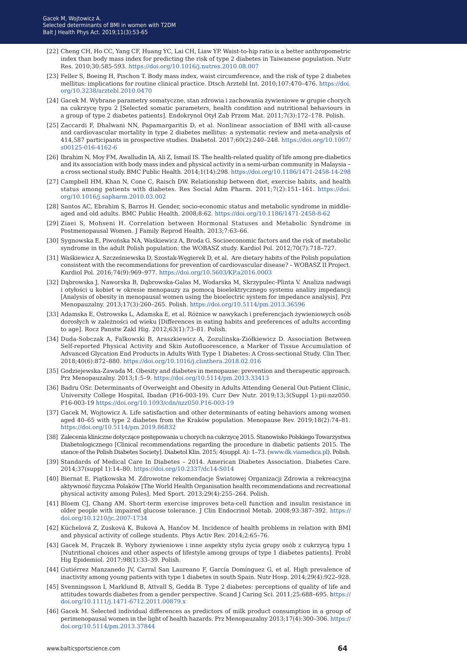- [22] Cheng CH, Ho CC, Yang CF, Huang YC, Lai CH, Liaw YP. Waist-to-hip ratio is a better anthropometric index than body mass index for predicting the risk of type 2 diabetes in Taiwanese population. Nutr Res. 2010;30:585-593.<https://doi.org/10.1016/j.nutres.2010.08.007>
- [23] Feller S, Boeing H, Pischon T. Body mass index, waist circumference, and the risk of type 2 diabetes mellitus: implications for routine clinical practice. Dtsch Arztebl Int. 2010;107:470–476. [https://doi.](https://doi.org/10.3238/arztebl.2010.0470) [org/10.3238/arztebl.2010.0470](https://doi.org/10.3238/arztebl.2010.0470)
- [24] Gacek M. Wybrane parametry somatyczne, stan zdrowia i zachowania żywieniowe w grupie chorych na cukrzycę typu 2 [Selected somatic parameters, health condition and nutritional behaviours in a group of type 2 diabetes patients]. Endokrynol Otył Zab Przem Mat. 2011;7(3):172–178. Polish.
- [25] Zaccardi F, Dhalwani NN, Papamargaritis D, et al. Nonlinear association of BMI with all-cause and cardiovascular mortality in type 2 diabetes mellitus: a systematic review and meta-analysis of 414,587 participants in prospective studies. Diabetol. 2017;60(2):240–248. [https://doi.org/10.1007/](https://doi.org/10.1007/s00125-016-4162-6) [s00125-016-4162-6](https://doi.org/10.1007/s00125-016-4162-6)
- [26] Ibrahim N, Moy FM, Awalludin IA, Ali Z, Ismail IS. The health-related quality of life among pre-diabetics and its association with body mass index and physical activity in a semi-urban community in Malaysia – a cross sectional study. BMC Public Health. 2014;1(14):298.<https://doi.org/10.1186/1471-2458-14-298>
- [27] Campbell HM, Khan N, Cone C, Raisch DW. Relationship between diet, exercise habits, and health status among patients with diabetes. Res Social Adm Pharm. 2011;7(2):151–161. [https://doi.](https://doi.org/10.1016/j.sapharm.2010.03.002) [org/10.1016/j.sapharm.2010.03.002](https://doi.org/10.1016/j.sapharm.2010.03.002)
- [28] Santos AC, Ebrahim S, Barros H. Gender, socio-economic status and metabolic syndrome in middleaged and old adults. BMC Public Health. 2008;8:62.<https://doi.org/10.1186/1471-2458-8-62>
- [29] Ziaei S, Mohseni H. Correlation between Hormonal Statuses and Metabolic Syndrome in Postmenopausal Women. J Family Reprod Health. 2013;7:63–66.
- [30] Sygnowska E, Piwońska NA, Waśkiewicz A, Broda G. Socioeconomic factors and the risk of metabolic syndrome in the adult Polish population: the WOBASZ study. Kardiol Pol. 2012;70(7):718–727.
- [31] Waśkiewicz A, Szcześniewska D, Szostak-Węgierek D, et al. Are dietary habits of the Polish population consistent with the recommendations for prevention of cardiovascular disease? – WOBASZ II Project. Kardiol Pol. 2016;74(9):969–977.<https://doi.org/10.5603/KP.a2016.0003>
- [32] Dąbrowska J, Naworska B, Dąbrowska-Galas M, Wodarska M, Skrzypulec-Plinta V. Analiza nadwagi i otyłości u kobiet w okresie menopauzy za pomocą bioelektrycznego systemu analizy impedancji [Analysis of obesity in menopausal women using the bioelectric system for impedance analysis]. Prz Menopauzalny. 2013;17(3):260–265. Polish. <https://doi.org/10.5114/pm.2013.36596>
- [33] Adamska E, Ostrowska L, Adamska E, et al. Różnice w nawykach i preferencjach żywieniowych osób dorosłych w zależności od wieku [Differences in eating habits and preferences of adults according to age]. Rocz Panstw Zakl Hig. 2012;63(1):73–81. Polish.
- [34] Duda-Sobczak A, Falkowski B, Araszkiewicz A, Zozulinska-Ziółkiewicz D. Association Between Self-reported Physical Activity and Skin Autofluorescence, a Marker of Tissue Accumulation of Advanced Glycation End Products in Adults With Type 1 Diabetes: A Cross-sectional Study. Clin Ther. 2018;40(6):872–880. <https://doi.org/10.1016/j.clinthera.2018.02.016>
- [35] Godziejewska-Zawada M. Obesity and diabetes in menopause: prevention and therapeutic approach. Prz Menopauzalny. 2013;1:5–9. <https://doi.org/10.5114/pm.2013.33413>
- [36] Badru OSr. Determinants of Overweight and Obesity in Adults Attending General Out-Patient Clinic, University College Hospital, Ibadan (P16-003-19). Curr Dev Nutr. 2019;13;3(Suppl 1):pii:nzz050. P16-003-19 <https://doi.org/10.1093/cdn/nzz050.P16-003-19>
- [37] Gacek M, Wojtowicz A. Life satisfaction and other determinants of eating behaviors among women aged 40–65 with type 2 diabetes from the Kraków population. Menopause Rev. 2019;18(2):74–81. <https://doi.org/10.5114/pm.2019.86832>
- [38] Zalecenia kliniczne dotyczące postępowania u chorych na cukrzycę 2015. Stanowisko Polskiego Towarzystwa Diabetologicznego [Clinical recommendations regarding the procedure in diabetic patients 2015. The stance of the Polish Diabetes Society]. Diabetol Klin. 2015; 4(suppl. A): 1–73. [\(www.dk.viamedica.pl\)](www.dk.viamedica.pl). Polish.
- [39] Standards of Medical Care In Diabetes 2014. American Diabetes Association. Diabetes Care. 2014;37(suppl 1):14–80.<https://doi.org/10.2337/dc14-S014>
- [40] Biernat E, Piątkowska M. Zdrowotne rekomendacje Światowej Organizacji Zdrowia a rekreacyjna aktywność fizyczna Polaków [The World Health Organisation health recommendations and recreational physical activity among Poles]. Med Sport. 2013;29(4):255–264. Polish.
- [41] Bloem CJ, Chang AM. Short-term exercise improves beta-cell function and insulin resistance in older people with impaired glucose tolerance. J Clin Endocrinol Metab. 2008;93:387–392. [https://](https://doi.org/10.1210/jc.2007-1734) [doi.org/10.1210/jc.2007-1734](https://doi.org/10.1210/jc.2007-1734)
- [42] Küchelová Z, Zusková K, Buková A, Hančov M. Incidence of health problems in relation with BMI and physical activity of college students. Phys Activ Rev. 2014;2:65–76.
- [43] Gacek M, Frączek B. Wybory żywieniowe i inne aspekty stylu życia grupy osób z cukrzycą typu 1 [Nutritional choices and other aspects of lifestyle among groups of type 1 diabetes patients]. Probl Hig Epidemiol. 2017;98(1):33–39. Polish.
- [44] Gutiérrez Manzanedo JV, Carral San Laureano F, García Domínguez G, et al. High prevalence of inactivity among young patients with type 1 diabetes in south Spain. Nutr Hosp. 2014;29(4):922–928.
- [45] Svenningsson I, Marklund B, Attvall S, Gedda B. Type 2 diabetes: perceptions of quality of life and attitudes towards diabetes from a gender perspective. Scand J Caring Sci. 2011;25:688–695. [https://](https://doi.org/10.1111/j.1471-6712.2011.00879.x) [doi.org/10.1111/j.1471-6712.2011.00879.x](https://doi.org/10.1111/j.1471-6712.2011.00879.x)
- [46] [Gacek M. Selected individual differences as predictors of milk product consumption in a group of](https://doi.org/10.1111/j.1471-6712.2011.00879.x)  [perimenopausal women in the light of health hazards. Prz Menopauzalny 2013;17\(4\):300–306. https://](https://doi.org/10.1111/j.1471-6712.2011.00879.x) [doi.org/10.5114/pm.2013.37844](https://doi.org/10.1111/j.1471-6712.2011.00879.x)